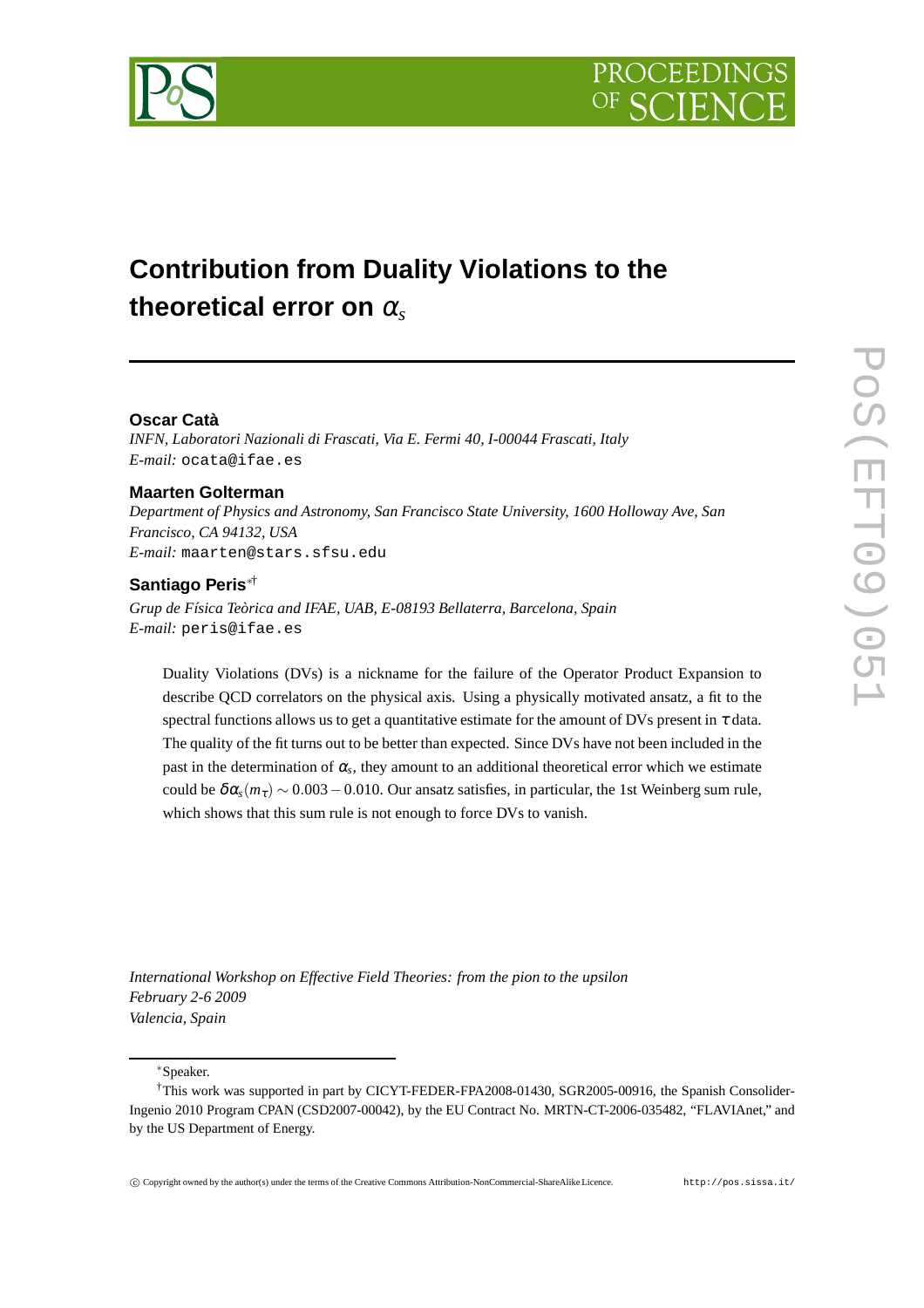

# **Contribution from Duality Violations to the theoretical error on** <sup>α</sup>*<sup>s</sup>*

# **Oscar Catà**

*INFN, Laboratori Nazionali di Frascati, Via E. Fermi 40, I-00044 Frascati, Italy E-mail:* ocata@ifae.es

#### **Maarten Golterman**

*Department of Physics and Astronomy, San Francisco State University, 1600 Holloway Ave, San Francisco, CA 94132, USA E-mail:* maarten@stars.sfsu.edu

# **Santiago Peris**∗†

*Grup de Física Teòrica and IFAE, UAB, E-08193 Bellaterra, Barcelona, Spain E-mail:* peris@ifae.es

Duality Violations (DVs) is a nickname for the failure of the Operator Product Expansion to describe QCD correlators on the physical axis. Using a physically motivated ansatz, a fit to the spectral functions allows us to get a quantitative estimate for the amount of DVs present in  $\tau$  data. The quality of the fit turns out to be better than expected. Since DVs have not been included in the past in the determination of  $\alpha_s$ , they amount to an additional theoretical error which we estimate could be  $\delta \alpha_s(m_\tau) \sim 0.003 - 0.010$ . Our ansatz satisfies, in particular, the 1st Weinberg sum rule, which shows that this sum rule is not enough to force DVs to vanish.

*International Workshop on Effective Field Theories: from the pion to the upsilon February 2-6 2009 Valencia, Spain*

<sup>∗</sup>Speaker.

<sup>†</sup>This work was supported in part by CICYT-FEDER-FPA2008-01430, SGR2005-00916, the Spanish Consolider-Ingenio 2010 Program CPAN (CSD2007-00042), by the EU Contract No. MRTN-CT-2006-035482, "FLAVIAnet," and by the US Department of Energy.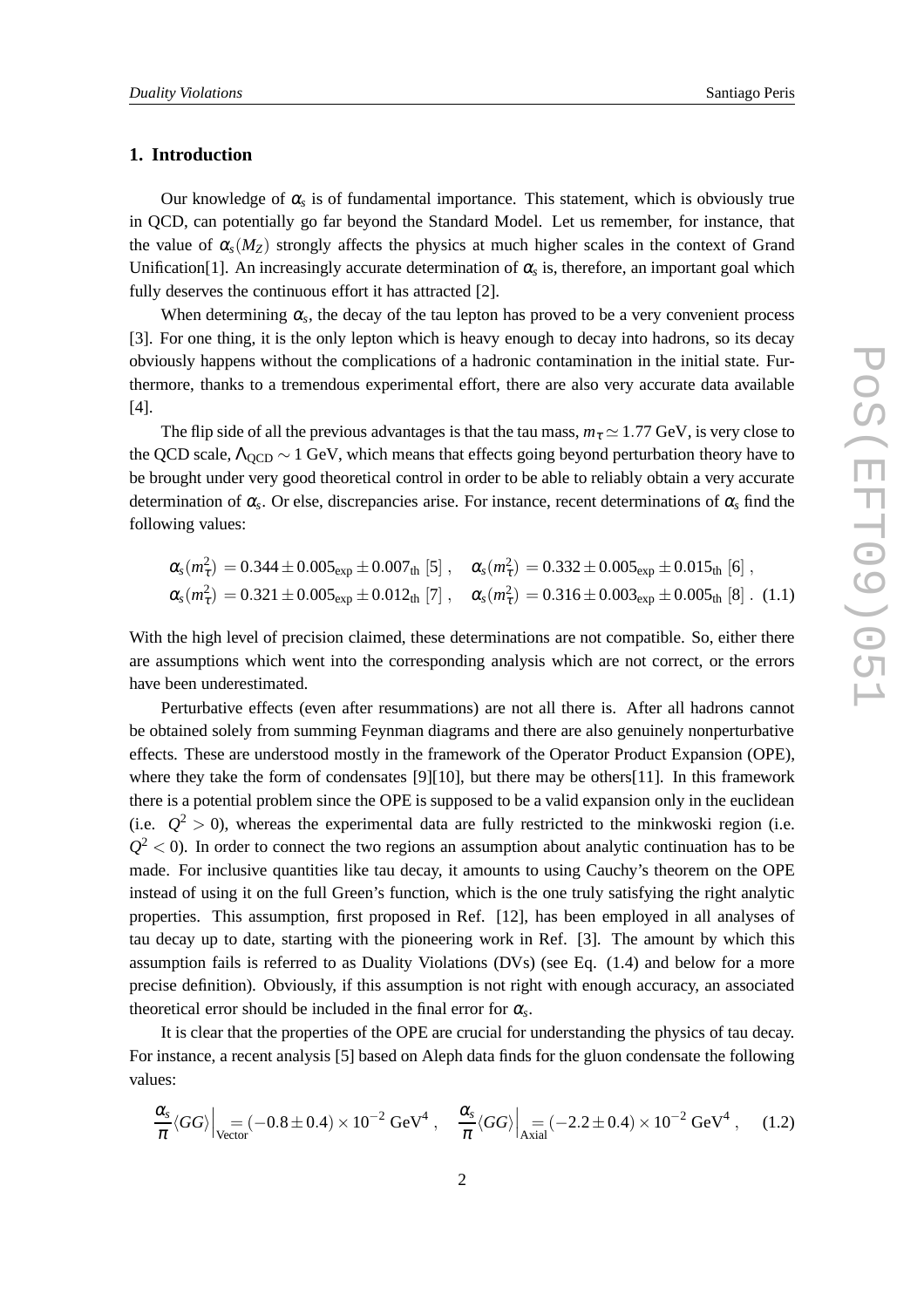#### **1. Introduction**

Our knowledge of  $\alpha_s$  is of fundamental importance. This statement, which is obviously true in QCD, can potentially go far beyond the Standard Model. Let us remember, for instance, that the value of  $\alpha_s(M_Z)$  strongly affects the physics at much higher scales in the context of Grand Unification[1]. An increasingly accurate determination of  $\alpha_s$  is, therefore, an important goal which fully deserves the continuous effort it has attracted [2].

When determining  $\alpha_s$ , the decay of the tau lepton has proved to be a very convenient process [3]. For one thing, it is the only lepton which is heavy enough to decay into hadrons, so its decay obviously happens without the complications of a hadronic contamination in the initial state. Furthermore, thanks to a tremendous experimental effort, there are also very accurate data available [4].

The flip side of all the previous advantages is that the tau mass,  $m<sub>\tau</sub> \approx 1.77$  GeV, is very close to the QCD scale,  $\Lambda_{\text{OCD}} \sim 1$  GeV, which means that effects going beyond perturbation theory have to be brought under very good theoretical control in order to be able to reliably obtain a very accurate determination of <sup>α</sup>*<sup>s</sup>* . Or else, discrepancies arise. For instance, recent determinations of <sup>α</sup>*<sup>s</sup>* find the following values:

$$
\alpha_{s}(m_{\tau}^{2}) = 0.344 \pm 0.005_{\exp} \pm 0.007_{\text{th}} [5], \quad \alpha_{s}(m_{\tau}^{2}) = 0.332 \pm 0.005_{\exp} \pm 0.015_{\text{th}} [6],
$$
  

$$
\alpha_{s}(m_{\tau}^{2}) = 0.321 \pm 0.005_{\exp} \pm 0.012_{\text{th}} [7], \quad \alpha_{s}(m_{\tau}^{2}) = 0.316 \pm 0.003_{\exp} \pm 0.005_{\text{th}} [8]. (1.1)
$$

With the high level of precision claimed, these determinations are not compatible. So, either there are assumptions which went into the corresponding analysis which are not correct, or the errors have been underestimated.

Perturbative effects (even after resummations) are not all there is. After all hadrons cannot be obtained solely from summing Feynman diagrams and there are also genuinely nonperturbative effects. These are understood mostly in the framework of the Operator Product Expansion (OPE), where they take the form of condensates [9][10], but there may be others[11]. In this framework there is a potential problem since the OPE is supposed to be a valid expansion only in the euclidean (i.e.  $Q^2 > 0$ ), whereas the experimental data are fully restricted to the minkwoski region (i.e.  $Q<sup>2</sup> < 0$ ). In order to connect the two regions an assumption about analytic continuation has to be made. For inclusive quantities like tau decay, it amounts to using Cauchy's theorem on the OPE instead of using it on the full Green's function, which is the one truly satisfying the right analytic properties. This assumption, first proposed in Ref. [12], has been employed in all analyses of tau decay up to date, starting with the pioneering work in Ref. [3]. The amount by which this assumption fails is referred to as Duality Violations (DVs) (see Eq. (1.4) and below for a more precise definition). Obviously, if this assumption is not right with enough accuracy, an associated theoretical error should be included in the final error for  $\alpha_s$ .

It is clear that the properties of the OPE are crucial for understanding the physics of tau decay. For instance, a recent analysis [5] based on Aleph data finds for the gluon condensate the following values:

$$
\frac{\alpha_s}{\pi} \langle GG \rangle \Big|_{\text{Vector}} = (-0.8 \pm 0.4) \times 10^{-2} \text{ GeV}^4 \ , \quad \frac{\alpha_s}{\pi} \langle GG \rangle \Big|_{\text{Axial}} = (-2.2 \pm 0.4) \times 10^{-2} \text{ GeV}^4 \ , \quad (1.2)
$$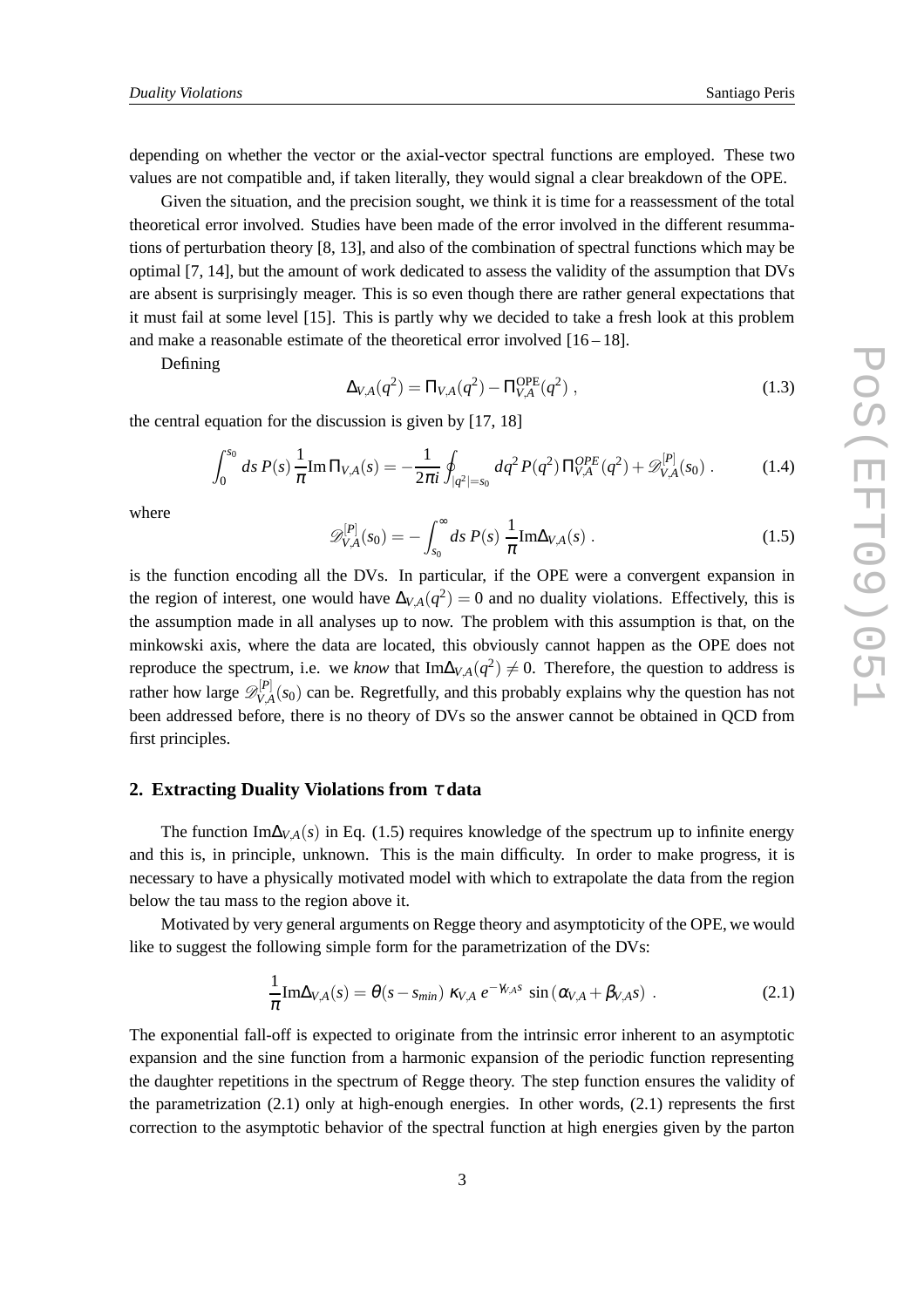depending on whether the vector or the axial-vector spectral functions are employed. These two values are not compatible and, if taken literally, they would signal a clear breakdown of the OPE.

Given the situation, and the precision sought, we think it is time for a reassessment of the total theoretical error involved. Studies have been made of the error involved in the different resummations of perturbation theory [8, 13], and also of the combination of spectral functions which may be optimal [7, 14], but the amount of work dedicated to assess the validity of the assumption that DVs are absent is surprisingly meager. This is so even though there are rather general expectations that it must fail at some level [15]. This is partly why we decided to take a fresh look at this problem and make a reasonable estimate of the theoretical error involved  $[16 - 18]$ .

Defining

$$
\Delta_{V,A}(q^2) = \Pi_{V,A}(q^2) - \Pi_{V,A}^{\text{OPE}}(q^2) , \qquad (1.3)
$$

the central equation for the discussion is given by [17, 18]

$$
\int_0^{s_0} ds \, P(s) \, \frac{1}{\pi} \text{Im} \, \Pi_{V,A}(s) = -\frac{1}{2\pi i} \oint_{|q^2|=s_0} dq^2 \, P(q^2) \, \Pi_{V,A}^{OPE}(q^2) + \mathscr{D}_{V,A}^{[P]}(s_0) \,. \tag{1.4}
$$

where

$$
\mathscr{D}_{V,A}^{[P]}(s_0) = -\int_{s_0}^{\infty} ds \ P(s) \ \frac{1}{\pi} \mathrm{Im} \Delta_{V,A}(s) \ . \tag{1.5}
$$

is the function encoding all the DVs. In particular, if the OPE were a convergent expansion in the region of interest, one would have  $\Delta_{V,A}(q^2) = 0$  and no duality violations. Effectively, this is the assumption made in all analyses up to now. The problem with this assumption is that, on the minkowski axis, where the data are located, this obviously cannot happen as the OPE does not reproduce the spectrum, i.e. we *know* that  $Im\Delta_{V,A}(q^2) \neq 0$ . Therefore, the question to address is rather how large  $\mathscr{D}_{VA}^{[P]}$  $V_{V,A}^{|V|}(s_0)$  can be. Regretfully, and this probably explains why the question has not been addressed before, there is no theory of DVs so the answer cannot be obtained in QCD from first principles.

# **2. Extracting Duality Violations from** <sup>τ</sup> **data**

The function Im∆ $_{V,A}(s)$  in Eq. (1.5) requires knowledge of the spectrum up to infinite energy and this is, in principle, unknown. This is the main difficulty. In order to make progress, it is necessary to have a physically motivated model with which to extrapolate the data from the region below the tau mass to the region above it.

Motivated by very general arguments on Regge theory and asymptoticity of the OPE, we would like to suggest the following simple form for the parametrization of the DVs:

$$
\frac{1}{\pi} \text{Im}\Delta_{V,A}(s) = \theta(s - s_{min}) \kappa_{V,A} e^{-\gamma_{V,A}s} \sin(\alpha_{V,A} + \beta_{V,A}s) \tag{2.1}
$$

The exponential fall-off is expected to originate from the intrinsic error inherent to an asymptotic expansion and the sine function from a harmonic expansion of the periodic function representing the daughter repetitions in the spectrum of Regge theory. The step function ensures the validity of the parametrization  $(2.1)$  only at high-enough energies. In other words,  $(2.1)$  represents the first correction to the asymptotic behavior of the spectral function at high energies given by the parton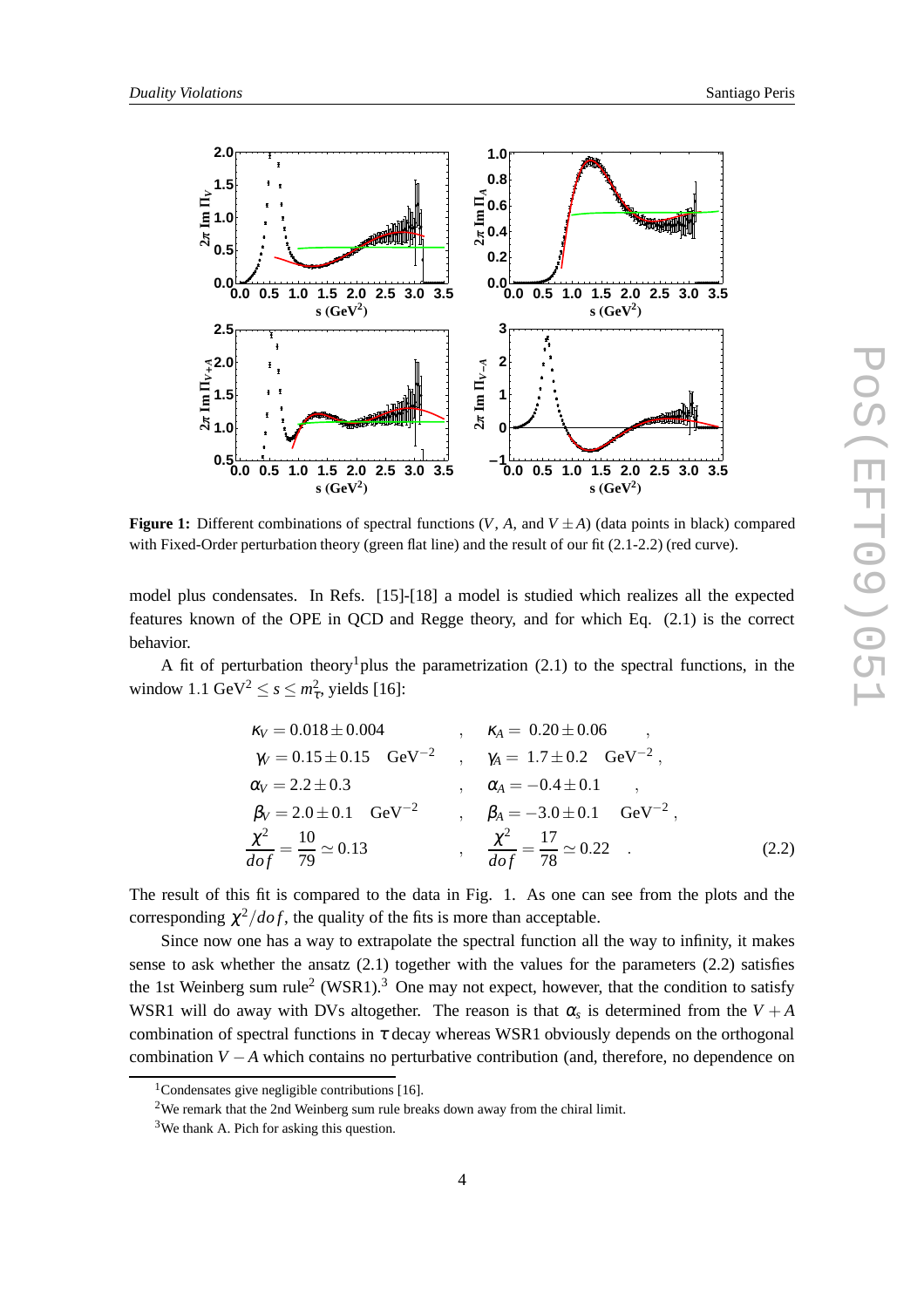

**Figure 1:** Different combinations of spectral functions  $(V, A, \text{ and } V \pm A)$  (data points in black) compared with Fixed-Order perturbation theory (green flat line) and the result of our fit (2.1-2.2) (red curve).

model plus condensates. In Refs. [15]-[18] a model is studied which realizes all the expected features known of the OPE in QCD and Regge theory, and for which Eq. (2.1) is the correct behavior.

A fit of perturbation theory<sup>1</sup> plus the parametrization  $(2.1)$  to the spectral functions, in the window 1.1 GeV<sup>2</sup>  $\leq$  s  $\leq$   $m_{\tau}^2$ , yields [16]:

$$
\kappa_V = 0.018 \pm 0.004 \qquad , \qquad \kappa_A = 0.20 \pm 0.06 \qquad ,
$$
  
\n
$$
\gamma_V = 0.15 \pm 0.15 \qquad \text{GeV}^{-2} \qquad , \qquad \gamma_A = 1.7 \pm 0.2 \qquad \text{GeV}^{-2} \qquad ,
$$
  
\n
$$
\alpha_V = 2.2 \pm 0.3 \qquad , \qquad \alpha_A = -0.4 \pm 0.1 \qquad ,
$$
  
\n
$$
\beta_V = 2.0 \pm 0.1 \qquad \text{GeV}^{-2} \qquad , \qquad \beta_A = -3.0 \pm 0.1 \qquad \text{GeV}^{-2} \qquad ,
$$
  
\n
$$
\frac{\chi^2}{dof} = \frac{10}{79} \simeq 0.13 \qquad , \qquad \frac{\chi^2}{dof} = \frac{17}{78} \simeq 0.22 \qquad .
$$
\n(2.2)

The result of this fit is compared to the data in Fig. 1. As one can see from the plots and the corresponding  $\chi^2/dof$ , the quality of the fits is more than acceptable.

Since now one has a way to extrapolate the spectral function all the way to infinity, it makes sense to ask whether the ansatz (2.1) together with the values for the parameters (2.2) satisfies the 1st Weinberg sum rule<sup>2</sup> (WSR1).<sup>3</sup> One may not expect, however, that the condition to satisfy WSR1 will do away with DVs altogether. The reason is that  $\alpha_s$  is determined from the  $V + A$ combination of spectral functions in  $\tau$  decay whereas WSR1 obviously depends on the orthogonal combination *V* −*A* which contains no perturbative contribution (and, therefore, no dependence on

 $1$ Condensates give negligible contributions [16].

<sup>&</sup>lt;sup>2</sup>We remark that the 2nd Weinberg sum rule breaks down away from the chiral limit.

 $3$ We thank A. Pich for asking this question.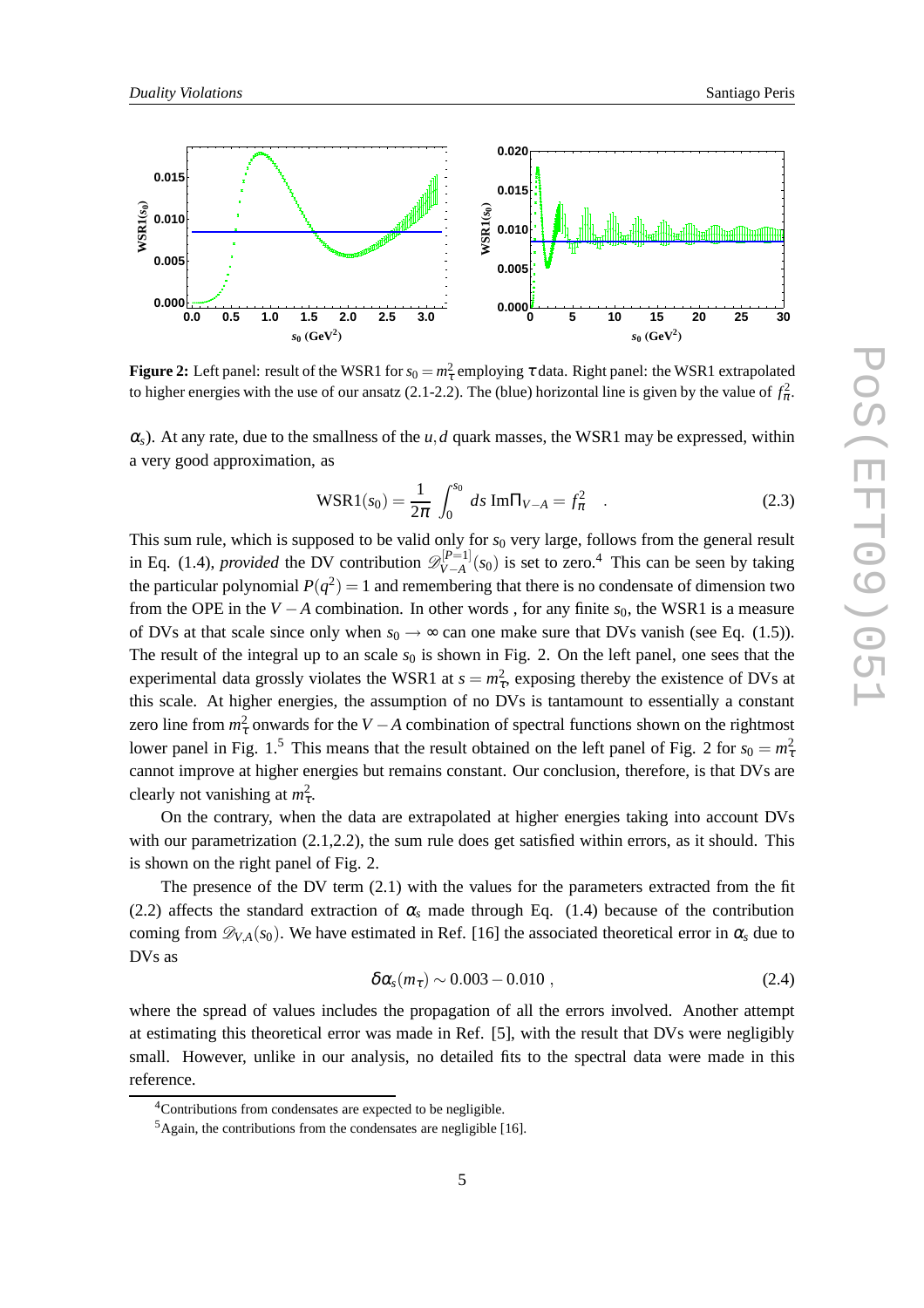

**Figure 2:** Left panel: result of the WSR1 for  $s_0 = m_\tau^2$  employing  $\tau$  data. Right panel: the WSR1 extrapolated to higher energies with the use of our ansatz (2.1-2.2). The (blue) horizontal line is given by the value of  $f_{\pi}^2$ .

 $\alpha_s$ ). At any rate, due to the smallness of the *u*,*d* quark masses, the WSR1 may be expressed, within a very good approximation, as

$$
\text{WSR1}(s_0) = \frac{1}{2\pi} \int_0^{s_0} ds \,\text{Im}\Pi_{V-A} = f_\pi^2 \quad . \tag{2.3}
$$

This sum rule, which is supposed to be valid only for  $s_0$  very large, follows from the general result in Eq. (1.4), *provided* the DV contribution  $\mathscr{D}_{V-A}^{[P=1]}$  $V = V \left( V - A \right)$  is set to zero.<sup>4</sup> This can be seen by taking the particular polynomial  $P(q^2) = 1$  and remembering that there is no condensate of dimension two from the OPE in the *V* − *A* combination. In other words, for any finite  $s_0$ , the WSR1 is a measure of DVs at that scale since only when  $s_0 \rightarrow \infty$  can one make sure that DVs vanish (see Eq. (1.5)). The result of the integral up to an scale  $s_0$  is shown in Fig. 2. On the left panel, one sees that the experimental data grossly violates the WSR1 at  $s = m_{\tau}^2$ , exposing thereby the existence of DVs at this scale. At higher energies, the assumption of no DVs is tantamount to essentially a constant zero line from  $m_{\tau}^2$  onwards for the *V* − *A* combination of spectral functions shown on the rightmost lower panel in Fig. 1.<sup>5</sup> This means that the result obtained on the left panel of Fig. 2 for  $s_0 = m_{\tau}^2$ cannot improve at higher energies but remains constant. Our conclusion, therefore, is that DVs are clearly not vanishing at  $m_{\tau}^2$ .

On the contrary, when the data are extrapolated at higher energies taking into account DVs with our parametrization  $(2.1, 2.2)$ , the sum rule does get satisfied within errors, as it should. This is shown on the right panel of Fig. 2.

The presence of the DV term (2.1) with the values for the parameters extracted from the fit (2.2) affects the standard extraction of  $\alpha_s$  made through Eq. (1.4) because of the contribution coming from  $\mathscr{D}_{V,A}(s_0)$ . We have estimated in Ref. [16] the associated theoretical error in  $\alpha_s$  due to DVs as

$$
\delta \alpha_s(m_\tau) \sim 0.003 - 0.010 , \qquad (2.4)
$$

where the spread of values includes the propagation of all the errors involved. Another attempt at estimating this theoretical error was made in Ref. [5], with the result that DVs were negligibly small. However, unlike in our analysis, no detailed fits to the spectral data were made in this reference.

<sup>&</sup>lt;sup>4</sup>Contributions from condensates are expected to be negligible.

 $5$ Again, the contributions from the condensates are negligible [16].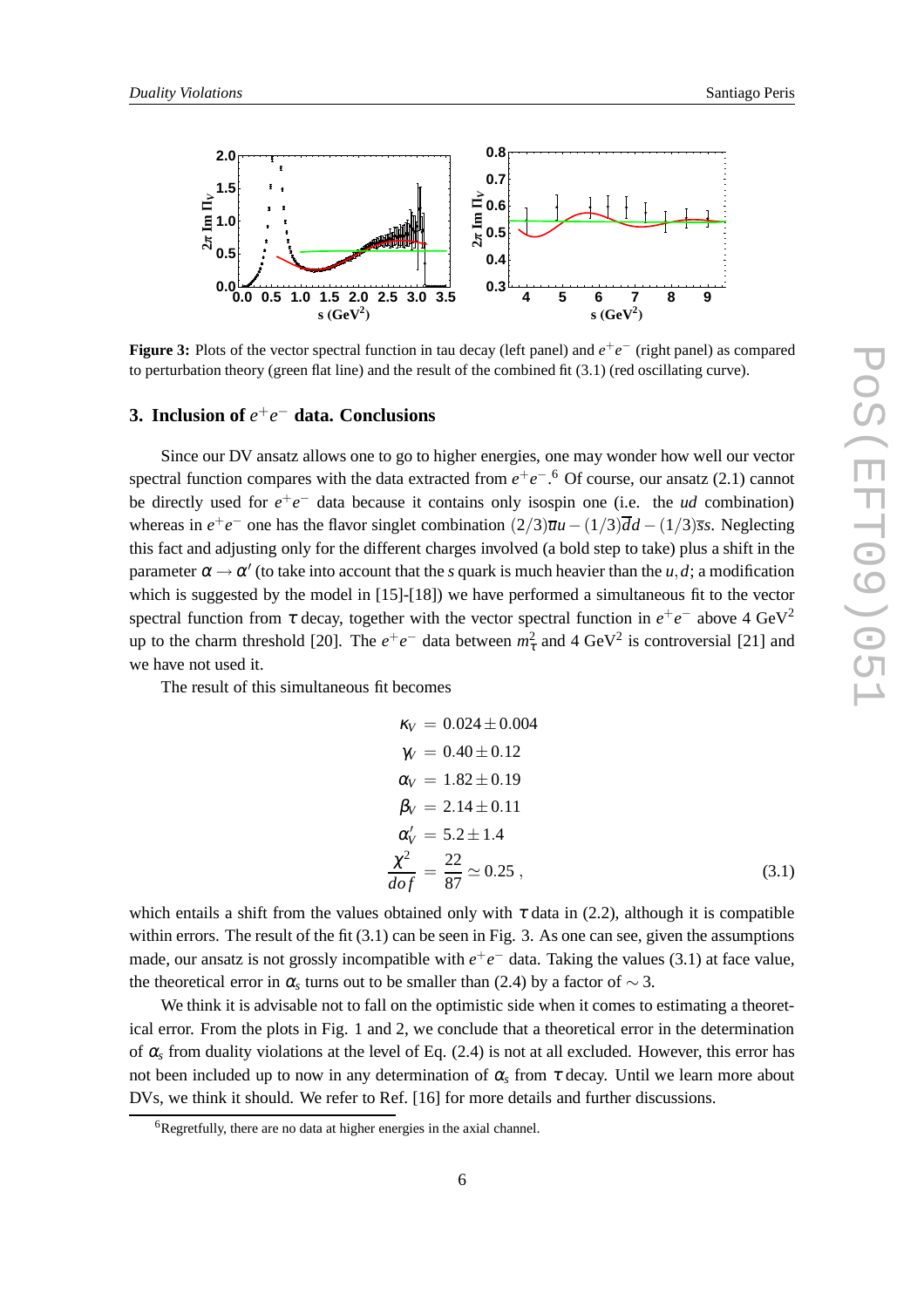

**Figure 3:** Plots of the vector spectral function in tau decay (left panel) and  $e^+e^-$  (right panel) as compared to perturbation theory (green flat line) and the result of the combined fit (3.1) (red oscillating curve).

# **3. Inclusion of** *e* +*e* <sup>−</sup> **data. Conclusions**

Since our DV ansatz allows one to go to higher energies, one may wonder how well our vector spectral function compares with the data extracted from  $e^+e^-$ .<sup>6</sup> Of course, our ansatz (2.1) cannot be directly used for  $e^+e^-$  data because it contains only isospin one (i.e. the *ud* combination) whereas in  $e^+e^-$  one has the flavor singlet combination  $(2/3)\overline{u}u - (1/3)\overline{d}d - (1/3)\overline{s}s$ . Neglecting this fact and adjusting only for the different charges involved (a bold step to take) plus a shift in the parameter  $\alpha \rightarrow \alpha'$  (to take into account that the *s* quark is much heavier than the *u*,*d*; a modification which is suggested by the model in  $[15]-[18]$ ) we have performed a simultaneous fit to the vector spectral function from  $\tau$  decay, together with the vector spectral function in  $e^+e^-$  above 4 GeV<sup>2</sup> up to the charm threshold [20]. The  $e^+e^-$  data between  $m_{\tau}^2$  and 4 GeV<sup>2</sup> is controversial [21] and we have not used it.

The result of this simultaneous fit becomes

$$
\kappa_V = 0.024 \pm 0.004 \n\gamma_V = 0.40 \pm 0.12 \n\alpha_V = 1.82 \pm 0.19 \n\beta_V = 2.14 \pm 0.11 \n\alpha'_V = 5.2 \pm 1.4 \n\frac{\chi^2}{dof} = \frac{22}{87} \approx 0.25
$$
\n(3.1)

which entails a shift from the values obtained only with  $\tau$  data in (2.2), although it is compatible within errors. The result of the fit  $(3.1)$  can be seen in Fig. 3. As one can see, given the assumptions made, our ansatz is not grossly incompatible with  $e^+e^-$  data. Taking the values (3.1) at face value, the theoretical error in  $\alpha_s$  turns out to be smaller than (2.4) by a factor of  $\sim$  3.

We think it is advisable not to fall on the optimistic side when it comes to estimating a theoretical error. From the plots in Fig. 1 and 2, we conclude that a theoretical error in the determination of  $\alpha_s$  from duality violations at the level of Eq. (2.4) is not at all excluded. However, this error has not been included up to now in any determination of  $\alpha_s$  from  $\tau$  decay. Until we learn more about DVs, we think it should. We refer to Ref. [16] for more details and further discussions.

<sup>6</sup>Regretfully, there are no data at higher energies in the axial channel.